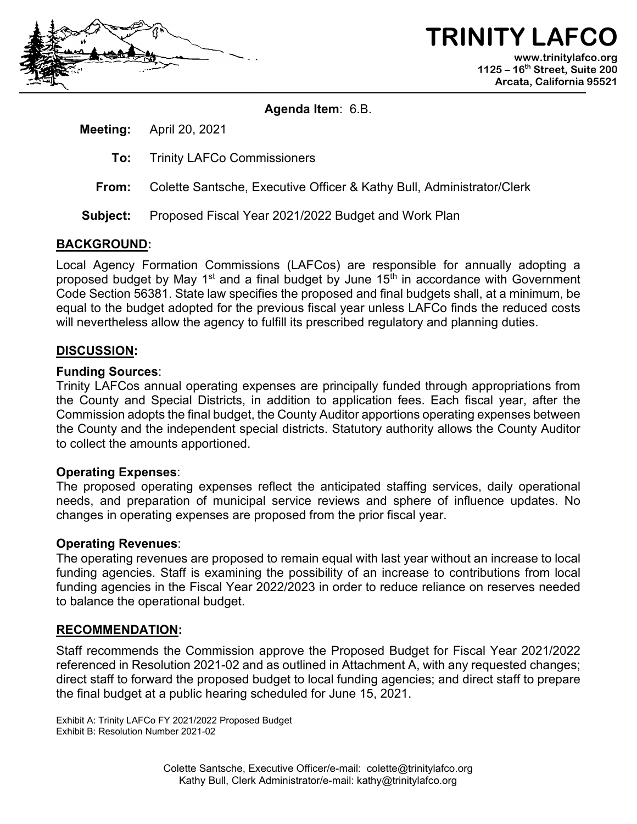

**TRINITY LAFCO www.trinitylafco.org 1125 – 16th Street, Suite 200 Arcata, California 95521**

**Agenda Item**: 6.B.

**Meeting:** April 20, 2021

- **To:** Trinity LAFCo Commissioners
- **From:** Colette Santsche, Executive Officer & Kathy Bull, Administrator/Clerk
- **Subject:** Proposed Fiscal Year 2021/2022 Budget and Work Plan

### **BACKGROUND:**

Local Agency Formation Commissions (LAFCos) are responsible for annually adopting a proposed budget by May 1<sup>st</sup> and a final budget by June 15<sup>th</sup> in accordance with Government Code Section 56381. State law specifies the proposed and final budgets shall, at a minimum, be equal to the budget adopted for the previous fiscal year unless LAFCo finds the reduced costs will nevertheless allow the agency to fulfill its prescribed regulatory and planning duties.

### **DISCUSSION:**

### **Funding Sources**:

Trinity LAFCos annual operating expenses are principally funded through appropriations from the County and Special Districts, in addition to application fees. Each fiscal year, after the Commission adopts the final budget, the County Auditor apportions operating expenses between the County and the independent special districts. Statutory authority allows the County Auditor to collect the amounts apportioned.

### **Operating Expenses**:

The proposed operating expenses reflect the anticipated staffing services, daily operational needs, and preparation of municipal service reviews and sphere of influence updates. No changes in operating expenses are proposed from the prior fiscal year.

### **Operating Revenues**:

The operating revenues are proposed to remain equal with last year without an increase to local funding agencies. Staff is examining the possibility of an increase to contributions from local funding agencies in the Fiscal Year 2022/2023 in order to reduce reliance on reserves needed to balance the operational budget.

### **RECOMMENDATION:**

Staff recommends the Commission approve the Proposed Budget for Fiscal Year 2021/2022 referenced in Resolution 2021-02 and as outlined in Attachment A, with any requested changes; direct staff to forward the proposed budget to local funding agencies; and direct staff to prepare the final budget at a public hearing scheduled for June 15, 2021.

Exhibit A: Trinity LAFCo FY 2021/2022 Proposed Budget Exhibit B: Resolution Number 2021-02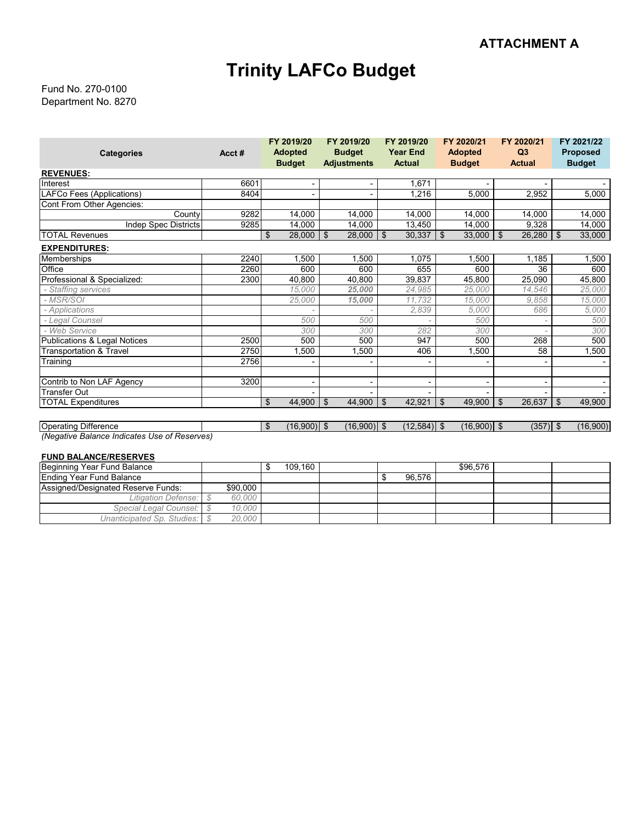## **Trinity LAFCo Budget**

Department No. 8270 Fund No. 270-0100

|                                              |       | FY 2019/20          | FY 2019/20         | FY 2019/20      | FY 2020/21     | FY 2020/21          | FY 2021/22           |
|----------------------------------------------|-------|---------------------|--------------------|-----------------|----------------|---------------------|----------------------|
| <b>Categories</b>                            | Acct# | <b>Adopted</b>      | <b>Budget</b>      | <b>Year End</b> | <b>Adopted</b> | Q3                  | <b>Proposed</b>      |
|                                              |       | <b>Budget</b>       | <b>Adjustments</b> | <b>Actual</b>   | <b>Budget</b>  | <b>Actual</b>       | <b>Budget</b>        |
| <b>REVENUES:</b>                             |       |                     |                    |                 |                |                     |                      |
| Interest                                     | 6601  |                     |                    | 1,671           |                |                     |                      |
| LAFCo Fees (Applications)                    | 8404  |                     |                    | 1,216           | 5,000          | 2,952               | 5,000                |
| Cont From Other Agencies:                    |       |                     |                    |                 |                |                     |                      |
| County                                       | 9282  | 14,000              | 14,000             | 14,000          | 14,000         | 14,000              | 14,000               |
| <b>Indep Spec Districts</b>                  | 9285  | 14,000              | 14,000             | 13,450          | 14,000         | 9,328               | 14,000               |
| <b>TOTAL Revenues</b>                        |       | \$<br>28,000        | \$<br>28,000       | 30,337<br>\$    | 33,000<br>\$   | $26,280$ \ \$<br>\$ | 33,000               |
| <b>EXPENDITURES:</b>                         |       |                     |                    |                 |                |                     |                      |
| Memberships                                  | 2240  | 1,500               | 1,500              | 1,075           | 1,500          | 1,185               | 1,500                |
| Office                                       | 2260  | 600                 | 600                | 655             | 600            | 36                  | 600                  |
| Professional & Specialized:                  | 2300  | 40,800              | 40,800             | 39,837          | 45,800         | 25,090              | 45,800               |
| - Staffing services                          |       | 15,000              | 25,000             | 24.985          | 25.000         | 14.546              | 25,000               |
| - MSR/SOI                                    |       | 25,000              | 15,000             | 11,732          | 15,000         | 9.858               | 15,000               |
| - Applications                               |       |                     |                    | 2.839           | 5,000          | 686                 | 5,000                |
| - Legal Counsel                              |       | 500                 | 500                |                 | 500            |                     | 500                  |
| - Web Service                                |       | 300                 | 300                | 282             | 300            |                     | 300                  |
| <b>Publications &amp; Legal Notices</b>      | 2500  | 500                 | 500                | 947             | 500            | 268                 | 500                  |
| <b>Transportation &amp; Travel</b>           | 2750  | 1,500               | 1,500              | 406             | 1,500          | 58                  | 1,500                |
| Training                                     | 2756  |                     |                    |                 |                |                     |                      |
| Contrib to Non LAF Agency                    | 3200  |                     |                    |                 |                |                     |                      |
| <b>Transfer Out</b>                          |       |                     |                    |                 |                |                     |                      |
| <b>TOTAL Expenditures</b>                    |       | \$<br>44,900        | \$<br>44,900       | \$<br>42,921    | \$<br>49,900   | \$<br>26,637        | $\vert$ \$<br>49,900 |
|                                              |       |                     |                    |                 |                |                     |                      |
| <b>Operating Difference</b>                  |       | \$<br>$(16,900)$ \$ | $(16,900)$ \$      | $(12,584)$ \$   | $(16,900)$ \$  | $(357)$ \$          | (16,900)             |
| (Negative Balance Indicates Use of Reserves) |       |                     |                    |                 |                |                     |                      |

#### **FUND BALANCE/RESERVES**

| Beginning Year Fund Balance        |          | 109.160 |  |        | \$96.576 |  |
|------------------------------------|----------|---------|--|--------|----------|--|
| Ending Year Fund Balance           |          |         |  | 96.576 |          |  |
| Assigned/Designated Reserve Funds: | \$90,000 |         |  |        |          |  |
| Litigation Defense:                | 60,000   |         |  |        |          |  |
| Special Legal Counsel: \ \$        | 10.000   |         |  |        |          |  |
| Unanticipated Sp. Studies:         | 20,000   |         |  |        |          |  |